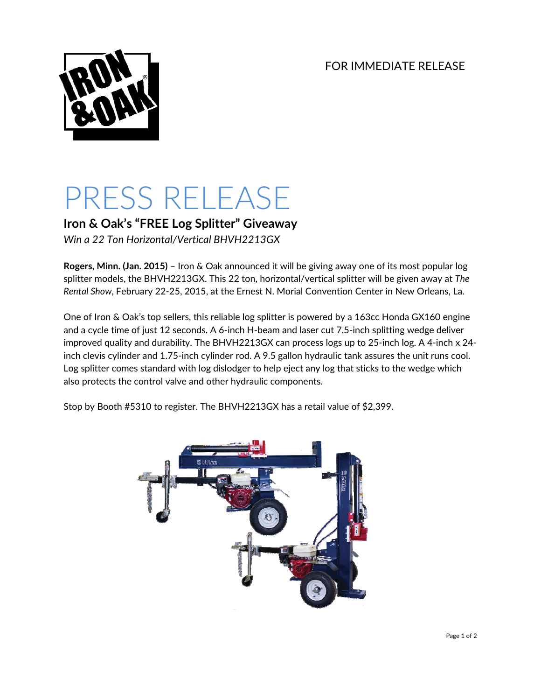FOR IMMEDIATE RELEASE



# PRESS RELEASE

**Iron & Oak's "FREE Log Splitter" Giveaway**

*Win a 22 Ton Horizontal/Vertical BHVH2213GX*

**Rogers, Minn. (Jan. 2015)** – Iron & Oak announced it will be giving away one of its most popular log splitter models, the BHVH2213GX. This 22 ton, horizontal/vertical splitter will be given away at *The Rental Show*, February 22‐25, 2015, at the Ernest N. Morial Convention Center in New Orleans, La.

One of Iron & Oak's top sellers, this reliable log splitter is powered by a 163cc Honda GX160 engine and a cycle time of just 12 seconds. A 6-inch H-beam and laser cut 7.5-inch splitting wedge deliver improved quality and durability. The BHVH2213GX can process logs up to 25‐inch log. A 4‐inch x 24‐ inch clevis cylinder and 1.75‐inch cylinder rod. A 9.5 gallon hydraulic tank assures the unit runs cool. Log splitter comes standard with log dislodger to help eject any log that sticks to the wedge which also protects the control valve and other hydraulic components.

Stop by Booth #5310 to register. The BHVH2213GX has a retail value of \$2,399.